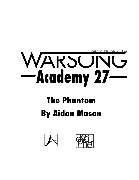

## WARSONG

## **The Phantom By Aidan Mason**



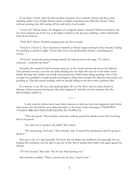It was three o'clock when the first incident occurred. Two students, Hanzo and Ihor, were standing under a row of light fixtures when a terrible scratching noise filled the theater. Then, without warning, they fell, tearing off the wall with a loud scratch.

"Look out!" Helena Kiner, the daughter of a weapons master, shouted. Without hesitation, the two boys jumped out of the way as the lights crashed to the ground, crushing a robot underneath them in the process.

"Holy shit!" Hanzo shouted, jumping back up, fists at ready.

"I knew it. I knew it," Ihor muttered to himself, as Hanzo began waving his fists around, looking for anything to punch or fight. "Every time I'm in this godforsaken theater, something goes wrong…"

"H-h-hey!" Jorani shouted, pointing towards the balcony above the stage. "T-t-there's someone…someone up there!"

Instantly, the sound of loud bootsteps rang out, as the unseen person ran across the balcony. That alerted everyone, even the two kids including the two kids who ran out of the back rooms hastily shoving their clothes on, loudly announcing they hadn't been doing anything. One of the younger boys grabbed a couple pencils and began to fling them towards the direction that Jorani was pointing at. That did exactly nothing, with the pencils falling to the floor with a pathetic click.

In a minute, it was all over, with sparking lights all over the floor, and an entire theater in disarray, without anyone having any idea what happened. And that was the moment that Mr. Shevochenko walked in.

\* \* \*

It only took the school news team thirty minutes to find out what had happened, and within three hours, the site had the story plastered right on the front of the homepage. UNKNOWN VANDAL BREAKS THEATER LIGHTS; NO SUSPECTS.

"This isn't good," Shevochenko muttered, walking around the family home, Ihor watching him as he paced.

"So, what are we going to do, Dad?" Ihor asked.

"We keep going, obviously," Shevochenko said. "I started this production and I'm going to finish it."

Ihor gave a bit of a sigh internally. He knew that his father was stubborn, but internally, he was hoping that somehow, he'd be able to get out of this. But it seemed that reality won again against his dreams.

"I'll look around," Ihor said. "See if I can find anything out."

Shevochenko nodded. "That's a good start, my boy. A good start."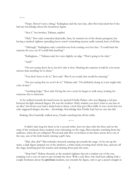\* \* \*

"Nope. Haven't seen a thing," Kalingkata said the next day, after Ihor had asked her if she had any knowledge about the mysterious figure.

"Nor I," her brother, Talinata, replied.

"Huh," Ihor said, somewhat dejectedly. Sure, he wanted out of the theater program, but having a masked vigilante spreading havoc wasn't something anyone really wanted, least of all him.

"Although," Kalingkata said, a mischievous look coming over her face. "I could hack the cameras for you, see if I could find anything."

"Kalingkata...." Talinata said, his voice slightly on edge. "That's going to be risky."

"And?"

"I'm not saying don't do it, but let's take it slow. Hacking the cameras would be a lot more serious than anything we've done."

"You don't have to do it," Ihor said. "But if you could, that would be amazing."

"I'm not saying that we won't do it," Talinata said. "I'm definitely doing it; it just might take a bit of time."

"Anything helps," Ihor said. Giving the two a nod, he began to walk away, looking for someone else to interview.

As he walked towards the band room, he spotted Charlie Parker, who was flipping a red pen between his light skinned fingers. He was the resident 'shifty student you don't want to run into in an alley'; his brown eyes had a sharp look to them, a look that gave Ihor chills. It was a look that not only suggested danger, but also…knowledge. Knowledge that Charlie had, but no one else did.

Shaking, Ihor hurriedly walked away, Charlie watching him all the while.

\* \* \*

It didn't take long for there to be a second strike. Just two days after the first, and on the cusp of the weekend, three students were rehearsing on the stage, Shevochenko watching from the audience, when the set collapsed. Wood and nails flew everywhere as the three actors dove out of the way, one of the bolts barely missing a girl's face.

"Shit, shit, shit!" Shevochenko shouted, running up towards the stage. As he ran up the stairs, a dark figure jumped out of the shadows, a white mask covering their whole face, and ran off the stage, brushing past the teacher and running down past the seats.

"Stop him!" Helena shouted, as the masked vigilante shoved a student out of the way, jumping over a row of seats to get towards the door. With a yell, Ihor, who had been talking with a couple freshmen about the **previous** incident, ran towards the figure, only to get a punch straight in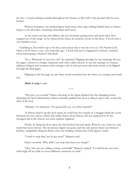the face. A loud cracking sounded throughout the theater, as Ihor fell to the ground with his nose broken.

Without hesitation, the masked figure raced away, their cape trailing behind them as Hanzo began to run after him, screaming obscenities and curses.

As the senior ran into the hallway, the two footsteps getting more and more faint, Ihor stepped out of the wings. As he observed the chaos, he noticed a book on the floor. A book with a very familiar cover…

Grabbing it, Ihor held it up to his face, and noticed that it was the cover to *The Phantom of the Opera,* a book from a very, very long time ago. A book that just so happened to feature a masked terror interrupting a theater's rehearsals.

"So, a 'Phantom' of our own, eh?" he muttered. Flipping through, he saw markings all over the pages, written in a sloppy, desperate style with a dark red pen. It was the rantings of a lunatic, talking of fingers and monsters and a strange void. It only got more and more erratic as he flipped through the final pages.

Flipping to the last page, he saw three words scratched into the sheet, in a strange and erratic way.

**Make it stop,** it said.

"Stay put, you coward!" Hanzo shouted, as the figure ducked into the changing rooms, slamming the door behind them. Hanzo instantly grabbed the door to fling it open, only to hear the click of the lock.

\* \* \*

"Damnit," he muttered. "I'm gonna kill you, you slimy bastard!"

As Hanzo tried to jig the door open, he could hear the sounds of a struggle inside the room. Someone let out a shout, which only made Hanzo more furious. He was supposed to be the strongest kid in the school, not some random vigilante!

Finally, he flung the door open, the lock broken beyond repair. What he saw, however, only made him more furious. The mysterious figure was gone, and the only person there was Helena's brother, weightlifter Maquois Kiner, who was holding a broken bit of the figure's cloak.

"I tried to stop him, but he got away!" Maquois said.

Hanzo scowled. "Why didn't you stop him then, you wimp!?"

"Hey, who are you calling a wimp, screwball?" Maquois replied. "I could break your nose while high off my balls on seven different variations of crack."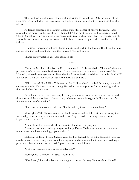The two boys stared at each other, both not willing to back down. Only the sound of the incoming janitor unlocked the two's gaze, the sound of an old woman with a broom breaking the silence.

As Hanzo stormed out, he caught Charlie out of the corner of his eye. Instantly, Hanzo scowled, even more than he was already. Hanzo didn't like most people, but he especially hated Charlie. Somehow, the sophomore was impossible to read, and extremely hard to get a rise out of. Not only that, he was the only one to successfully beat Hanzo in a fight, and Hanzo had never lived it down.

Grunting, Hanzo brushed past Charlie and stormed back to the theater. The disruption was costing him time in the spotlight, time that he couldn't afford to lose.

Charlie simply watched as Hanzo stormed off.

\* \* \*

"I'm sorry Mr. Shevochenko, but if you can't get rid of this so-called….'Phantom', then your program needs to shut down for the safety of the students and the community as a whole," Mr. Mori said, his cold steely eyes staring Shevochenko down as he slammed down the tablet. MASKED 'PHANTOM' ATTACKS AGAIN, NEARLY KILLS STUDENT.

"Wha….what? How? Why? This isn't my fault!" Shevochenko replied. Instantly, he started cursing internally. He knew this was coming. He had two days to prepare for this meeting, and yet, this was the best he could do?

"Yes, I understand that. However, the safety of the students is of my utmost concern and the concern of the school board. Given how you haven't been able to get this Phantom out, it's a fundamentally unsafe situation."

"Then get me someone to help out! Get the military involved or something!"

Mori sighed. "Mr. Shevochenko, you should know as well as I do that there is no way that we could get any member of the military to do this. They're needed for things that are truly important, not a vandal."

"But if it's just a vandal, why do we need to shut down the program?"

"Because this vandal is doing dangerous things. Please, Mr. Shevochenko, put aside your tunnel vision and look at the bigger picture there."

Muttering under his breath, Shevochenko tried his hardest not to explode. Mori's logic was clearly flawed; if it was dangerous, even if it was just a vandal, why wouldn't there be a need to get protection? But he knew that he couldn't push the matter much further.

"Can we at least get a day? A day to solve this?"

Mori sighed. "Very well," he said. "ONE. DAY"

"Thank you," Shevochenko said, standing up to leave. *"Asshole,"* he thought to himself.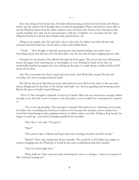\* \* \*

Ihor was sitting in his homeroom, his brain still processing an interview he'd done with Hanzo before the day started. He'd thought that it would be meaningful (Hanzo should have been able to see the Phantom better than the other students since he'd been the closest), but it had given him exactly nothing. Not only was he uncooperative, with the vocabulary of a caveman, but the only thing he'd learned at all was that Charlie really pissed Hanzo off.

Things were simply, shit. He only had a day to solve this, his father was balls-off-the-wall stressed, and all he had was a book, three words, and Charlie Kiner.

*"Charlie…"* Ihor thought to himself, spotting the man himself sitting a few desks away. Something about that kid was off in the first place, but the fact that he kept cropping up was odd.

Occupied by his theories, Ihor flicked through the book again. The red words were still sprayed across the pages, their meaning just as meaningless as ever. Putting his hand on his face, he accidentally brushed up against his nose, flaring up the pain. A couple drops of dark red blood fell down on his desk.

*Red.* The word came into Ihor's mind and stuck there. *Red.* What did it mean? He saw red everyday, why was it staying inside his head?

*Red.* Red in the book. Red blood on the table from his nose. Red on the shirts of the two who always disappeared in the back of the theater and made very obvious grunting and moaning noises. Red in the pen in Charlie's hand. Red pen.

*"That's it!"* Ihor thought to himself. It had to be Charlie. Who else was mysterious enough, skilled enough, to do this? He wasn't in theater in the first place, so he wouldn't be constrained by emotion or

*"No, it's the only possibility,"* Ihor thought to himself. This had to be it. Otherwise, he'd watch his father lose everything that had been worked on for the past few months, and no matter how much Ihor hated being in that goddamn theater, he didn't want to see that. Taking a deep breath, he began to stand up…just before Kalingkata grabbed his shoulder.

"Hey, Ihor," she said. "I've got it."

"Huh?"

"The camera tapes. Talinata and I got them this morning, around a month's worth."

"Really?!" Ihor said, sitting back down excitedly. This could be it. If Charlie was caught on camera changing into the Phantom, it would be the exact confirmation that Ihor needed.

"Yep. Got them right here."

"Wait, hold on," Ihor said nervously, lowering his voice to a whisper. "Aren't you scared of Mrs. Ichinose hearing us?"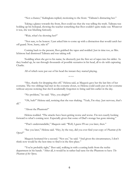"Not a chance," Kalingkata replied, motioning to the front. "Talinata's distracting her."

Taking a glance towards the front, Ihor could see that she was telling the truth. Talinata was holding up his holopad, showing the teacher something that Ihor couldn't quite make out. Whatever it was, she was blushing furiously.

"Wait, what's he showing her?"

"Not sure, to be honest. I just asked him to come up with a distraction that would catch her off guard. Now, hurry, take it!"

Coming back to the present, Ihor grabbed the tapes and nodded. Just in time too, as Mrs. Ichinose had dismissed Talinata and was taking roll.

Nodding when she got to his name, he discreetly put the first set of tapes into his tablet. As they loaded up, he ran through thousands of possible scenarios in his head, all to do with capturing Charlie.

All of which were put out of his head the instant they started playing.

\* \* \*

"Hey, thanks for dropping this off," Helena said, as Maquois gave her the last bits of her costume. The two siblings had met in the costume closet, so Helena could easily put on her costume without anyone noticing that she'd accidentally forgotten to bring said bits earlier in the day.

"No problem," he said. "Hey, you alright?"

"Oh, huh?" Helena said, noticing that she was shaking. "Yeah, I'm okay. Just nervous, that's all."

"About the Phantom?"

Helena nodded. "The attacks have been getting worse and worse. I'm not exactly looking forward to what's coming next. Especially given that some of Dad's storage has gone missing."

"That's understandable," Maquois said. "Well, I guess I'll see you later, then."

"See you later," Helena said. "Hey, by the way, did you ever find your copy of *Phantom of the Opera*?"

Maquois hesitated for a second. "Not yet," he said. "And given the circumstances, I don't think now would be the best time to find it in the first place."

"You're probably right," Ihor said, walking in with a cutting knife from the techie department in his hands. "After all, it would be in rather bad taste for the Phantom to have *The Phantom of the Opera*.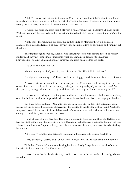"Huh?" Helena said, turning to Maquois. What the hell was Ihor talking about? She looked towards her brother, hoping to find some sort of answer in his eyes. However, all she found was a strange look in his eyes. A look of determination, of…insanity.

Grabbing his shirt, Maquois tore it off with a yell, revealing the Phantom's all black outfit. Without hesitation, he reached into his pocket and pulled out a knife much bigger than Ihor's in the other.

"Holy shit!" Ihor shouted, dropping his cutting knife as Maquois threw on his mask. Maquois took instant advantage of this, shoving Ihor back into a row of costumes, and running out the door.

Bursting through the wood, Maquois was instantly greeted with around fifteen or twenty students, all carrying some kind of makeshift weapon. Standing in front of them all was Shevochenko, holding a plasma pistol. Now it was Maquois' turn to drop his knife.

"It's over, Maquois," he said.

Maquois merely laughed, reaching into his pocket. "Is it?! Is it!!!!! I think not!"

"Really? You wanna try me?" Hanzo said threateningly, brandishing a broken piece of wood.

"I have a detonator I stole from my father, you fools!" he shouted, thrusting it out into the open. "One click, and I can blow the ceiling, making everything collapse! Just like the book! And then, maybe, I can get this all out of my head! Get it all out of my head! Get out of my head!"

His eyes were darting all over the place, and for a moment, it seemed like he was completely out of it. Indeed, he almost dropped the detonator as he rambled, only barely managing to hold on.

But then, just as suddenly, Maquois snapped back to reality. A dark grin spread across his face as his finger moved closer and closer...only for Charlie to tackle him to the ground. Grabbing Maquois' mask, Charlie tore it off his fellow student's face and smashed back down, the force hard enough to break Maquois' nose and the mask.

It was all over in a few seconds. The crowd watched in shock, as did Ihor and Helena, who had only just come out of the dressing storage. Even Shevochenko had a surprised look on his face. The only one that wasn't quite so happy was Hanzo, who was absolutely furious at Charlie stealing his thunder.

"H-h-how?" Jorani asked, nervously clutching a dictionary with pencils stuck in it.

"I pay attention," Charlie said. "Now, if you'll excuse me, this is your problem, not mine."

With that, Charlie left the room, leaving behind a bloody Maquois and a bunch of theater kids that had not one iota of an idea what to do.

It was Helena that broke the silence, kneeling down towards her brother. Instantly, Maquois teared up.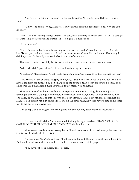"I'm sorry," he said, his voice on the edge of breaking. "I've failed you, Helena. I've failed you."

"Why?" she asked. "Why, Maquois? You've always been the dependable one. Why did you do this?"

"I've…I've been having strange dreams," he said, tears dripping down his eyes. "I saw…a strange creature…in a void of blue and purple…it's…oh god, it's monstrous!"

"In what ways?"

"It's…it's human, but it isn't! It has fingers on a necklace, and it's standing next to me! It calls itself Booog, oh god, that name! And I can't run away, cause it's standing beside me. That's why I did this, cause it's the only way to take back control of everything…"

That was when Maquois fully broke down, with tears and snot streaming down his face.

"Wh…why didn't you tell me?" Helena said, embracing her brother.

"I couldn't," Maquois said. "That would make me weak. And I have to be that brother for you."

"Oh, Maquois," Helena said, hugging him tightly. "Thank you for all you've done, but I'm older now. I can fight for myself. You don't have to be the strong one. It's okay for you to be open, to be emotional. And that doesn't make you weak! It just means you're human."

More tears ensued as the two embraced, everyone else merely watching. Some were just as distraught as the two siblings, while others were relieved. For Ihor, he had…mixed emotions. On one hand, he was glad that all this shit was over now. Having Maquois get his nose broken just like Maquois had broken his didn't hurt either. But on the other hand, he would have to find some other way to get out of the theater now.

*"At the very least, Dad's happy,"* Ihor thought to himself, looking at his father's relieved face.

\* \* \*

"So. You actually did it," Mori muttered, flicking through his tablet. PHANTOM FOUND; CAUSE OF TERROR MENTAL BREAKDOWN, the headline read.

Mori wasn't exactly keen on losing, but he'd look even worse if he tried to stop this now. So, in this case, he'd take the loss this time.

*"I wonder which play they're doing now,"* he thought to himself, flicking down through the article. And would you look at that, it was there, on the very last sentence of the page.

"You have got to be kidding me," he said.